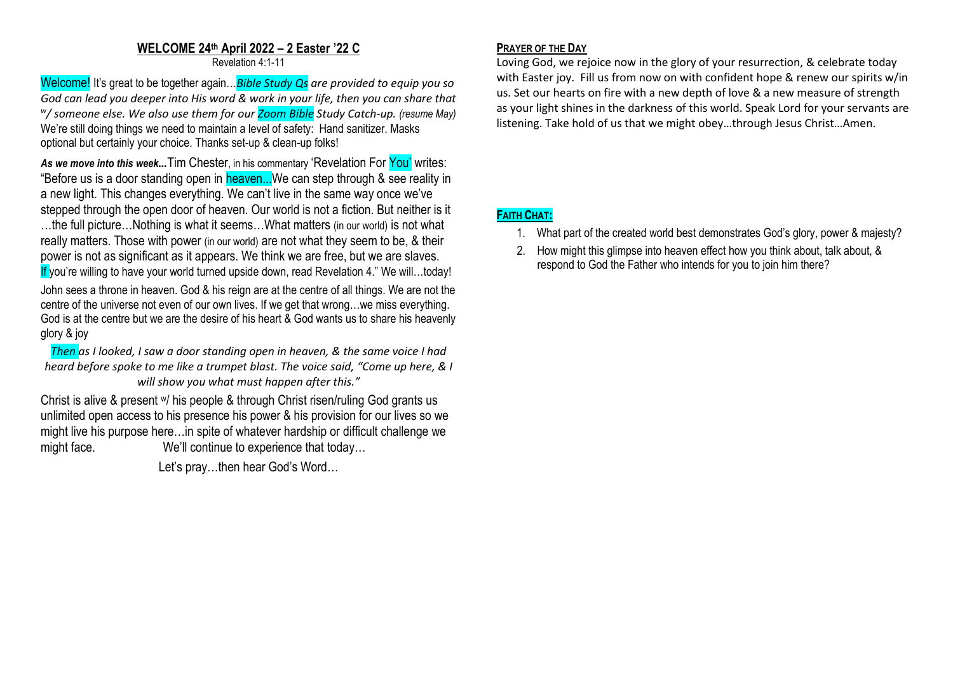#### **WELCOME 24th April 2022 – 2 Easter '22 C**

Revelation 4:1-11

Welcome! It's great to be together again…*Bible Study Qs are provided to equip you so God can lead you deeper into His word & work in your life, then you can share that w / someone else. We also use them for our Zoom Bible Study Catch-up. (resume May)*  We're still doing things we need to maintain a level of safety: Hand sanitizer. Masks optional but certainly your choice. Thanks set-up & clean-up folks!

*As we move into this week…*Tim Chester, in his commentary 'Revelation For You' writes: "Before us is a door standing open in **heaven...**We can step through & see reality in a new light. This changes everything. We can't live in the same way once we've stepped through the open door of heaven. Our world is not a fiction. But neither is it …the full picture…Nothing is what it seems…What matters (in our world) is not what really matters. Those with power (in our world) are not what they seem to be, & their power is not as significant as it appears. We think we are free, but we are slaves. If you're willing to have your world turned upside down, read Revelation 4." We will…today!

John sees a throne in heaven. God & his reign are at the centre of all things. We are not the centre of the universe not even of our own lives. If we get that wrong…we miss everything. God is at the centre but we are the desire of his heart & God wants us to share his heavenly glory & joy

*Then as I looked, I saw a door standing open in heaven, & the same voice I had heard before spoke to me like a trumpet blast. The voice said, "Come up here, & I will show you what must happen after this."*

Christ is alive & present w/ his people & through Christ risen/ruling God grants us unlimited open access to his presence his power & his provision for our lives so we might live his purpose here…in spite of whatever hardship or difficult challenge we might face. We'll continue to experience that today...

Let's pray…then hear God's Word…

# **PRAYER OF THE DAY**

Loving God, we rejoice now in the glory of your resurrection, & celebrate today with Easter joy. Fill us from now on with confident hope & renew our spirits w/in us. Set our hearts on fire with a new depth of love & a new measure of strength as your light shines in the darkness of this world. Speak Lord for your servants are listening. Take hold of us that we might obey…through Jesus Christ…Amen.

## **FAITH CHAT:**

- 1. What part of the created world best demonstrates God's glory, power & majesty?
- 2. How might this glimpse into heaven effect how you think about, talk about, & respond to God the Father who intends for you to join him there?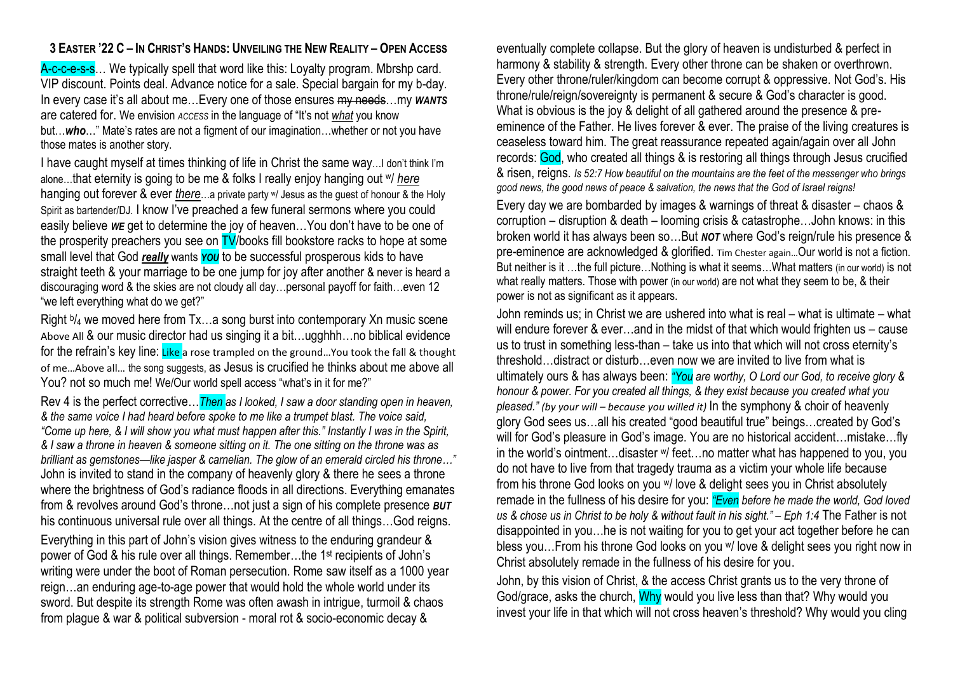## 3 EASTER '22 C - IN CHRIST'S HANDS: UNVEILING THE NEW REALITY - OPEN ACCESS

A-c-c-e-s-s... We typically spell that word like this: Lovalty program. Mbrshp card. VIP discount. Points deal. Advance notice for a sale. Special bargain for my b-day. In every case it's all about me…Every one of those ensures my needs…my *WANTS* are catered for. We envision *ACCESS* in the language of "It's not *what* you know but…*who*…" Mate's rates are not a figment of our imagination…whether or not you have those mates is another story.

I have caught myself at times thinking of life in Christ the same way... I don't think I'm alone…that eternity is going to be me & folks I really enjoy hanging out w/ *here* hanging out forever & ever *there*…a private party w/ Jesus as the guest of honour & the Holy Spirit as bartender/DJ. I know I've preached a few funeral sermons where you could easily believe *WE* get to determine the joy of heaven…You don't have to be one of the prosperity preachers you see on **TV**/books fill bookstore racks to hope at some small level that God *really* wants *YOU* to be successful prosperous kids to have straight teeth & your marriage to be one jump for joy after another & never is heard a discouraging word & the skies are not cloudy all day…personal payoff for faith…even 12 "we left everything what do we get?"

Right <sup>b</sup>/<sub>4</sub> we moved here from Tx…a song burst into contemporary Xn music scene Above All & our music director had us singing it a bit…ugghhh…no biblical evidence for the refrain's key line: Like a rose trampled on the ground...You took the fall & thought of me…Above all… the song suggests, as Jesus is crucified he thinks about me above all You? not so much me! We/Our world spell access "what's in it for me?"

Rev 4 is the perfect corrective…*Then as I looked, I saw a door standing open in heaven, & the same voice I had heard before spoke to me like a trumpet blast. The voice said, "Come up here, & I will show you what must happen after this." Instantly I was in the Spirit, & I saw a throne in heaven & someone sitting on it. The one sitting on the throne was as brilliant as gemstones—like jasper & carnelian. The glow of an emerald circled his throne…"* John is invited to stand in the company of heavenly glory & there he sees a throne where the brightness of God's radiance floods in all directions. Everything emanates from & revolves around God's throne…not just a sign of his complete presence *BUT* his continuous universal rule over all things. At the centre of all things…God reigns. Everything in this part of John's vision gives witness to the enduring grandeur & power of God & his rule over all things. Remember...the 1<sup>st</sup> recipients of John's writing were under the boot of Roman persecution. Rome saw itself as a 1000 year reign…an enduring age-to-age power that would hold the whole world under its sword. But despite its strength Rome was often awash in intrigue, turmoil & chaos from plague & war & political subversion - moral rot & socio-economic decay &

eventually complete collapse. But the glory of heaven is undisturbed & perfect in harmony & stability & strength. Every other throne can be shaken or overthrown. Every other throne/ruler/kingdom can become corrupt & oppressive. Not God's. His throne/rule/reign/sovereignty is permanent & secure & God's character is good. What is obvious is the joy & delight of all gathered around the presence & preeminence of the Father. He lives forever & ever. The praise of the living creatures is ceaseless toward him. The great reassurance repeated again/again over all John records: God, who created all things & is restoring all things through Jesus crucified & risen, reigns. *Is 52:7 How beautiful on the mountains are the feet of the messenger who brings good news, the good news of peace & salvation, the news that the God of Israel reigns!*

Every day we are bombarded by images & warnings of threat & disaster – chaos & corruption – disruption & death – looming crisis & catastrophe…John knows: in this broken world it has always been so…But *NOT* where God's reign/rule his presence & pre-eminence are acknowledged & glorified. Tim Chester again…Our world is not a fiction. But neither is it …the full picture…Nothing is what it seems…What matters (in our world) is not what really matters. Those with power (in our world) are not what they seem to be, & their power is not as significant as it appears.

John reminds us; in Christ we are ushered into what is real – what is ultimate – what will endure forever & ever...and in the midst of that which would frighten us – cause us to trust in something less-than – take us into that which will not cross eternity's threshold…distract or disturb…even now we are invited to live from what is ultimately ours & has always been: *"You are worthy, O Lord our God, to receive glory & honour & power. For you created all things, & they exist because you created what you pleased." (by your will – because you willed it)* In the symphony & choir of heavenly glory God sees us…all his created "good beautiful true" beings…created by God's will for God's pleasure in God's image. You are no historical accident…mistake…fly in the world's ointment…disaster w/ feet…no matter what has happened to you, you do not have to live from that tragedy trauma as a victim your whole life because from his throne God looks on you w/ love & delight sees you in Christ absolutely remade in the fullness of his desire for you: *"Even before he made the world, God loved us & chose us in Christ to be holy & without fault in his sight." – Eph 1:4* The Father is not disappointed in you…he is not waiting for you to get your act together before he can bless you…From his throne God looks on you w/ love & delight sees you right now in Christ absolutely remade in the fullness of his desire for you.

John, by this vision of Christ, & the access Christ grants us to the very throne of God/grace, asks the church, Why would you live less than that? Why would you invest your life in that which will not cross heaven's threshold? Why would you cling